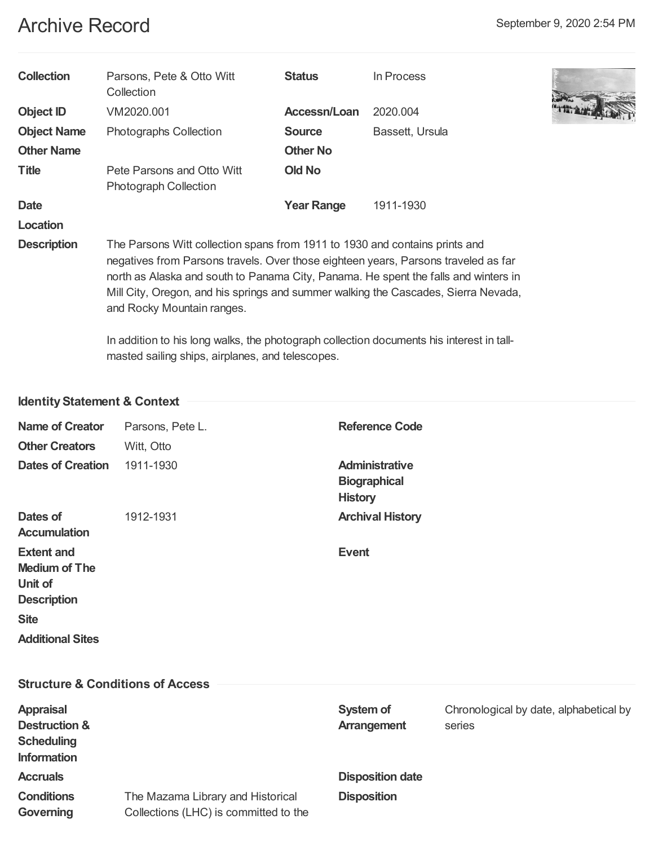# Archive Record September 9, 2020 2:54 PM

| <b>Collection</b>  | Parsons, Pete & Otto Witt<br>Collection                                                                                                                                                                                                                                                                                                                                      | <b>Status</b>     | In Process      |  |  |
|--------------------|------------------------------------------------------------------------------------------------------------------------------------------------------------------------------------------------------------------------------------------------------------------------------------------------------------------------------------------------------------------------------|-------------------|-----------------|--|--|
| <b>Object ID</b>   | VM2020.001                                                                                                                                                                                                                                                                                                                                                                   | Accessn/Loan      | 2020.004        |  |  |
| <b>Object Name</b> | Photographs Collection                                                                                                                                                                                                                                                                                                                                                       | <b>Source</b>     | Bassett, Ursula |  |  |
| <b>Other Name</b>  |                                                                                                                                                                                                                                                                                                                                                                              | <b>Other No</b>   |                 |  |  |
| <b>Title</b>       | Pete Parsons and Otto Witt<br>Photograph Collection                                                                                                                                                                                                                                                                                                                          | <b>Old No</b>     |                 |  |  |
| <b>Date</b>        |                                                                                                                                                                                                                                                                                                                                                                              | <b>Year Range</b> | 1911-1930       |  |  |
| Location           |                                                                                                                                                                                                                                                                                                                                                                              |                   |                 |  |  |
| <b>Description</b> | The Parsons Witt collection spans from 1911 to 1930 and contains prints and<br>negatives from Parsons travels. Over those eighteen years, Parsons traveled as far<br>north as Alaska and south to Panama City, Panama. He spent the falls and winters in<br>Mill City, Oregon, and his springs and summer walking the Cascades, Sierra Nevada,<br>and Rocky Mountain ranges. |                   |                 |  |  |
|                    | In addition to his long walks, the photograph collection documents his interest in tall-<br>masted sailing ships, airplanes, and telescopes.                                                                                                                                                                                                                                 |                   |                 |  |  |

# **IdentityStatement & Context**

| <b>Name of Creator</b><br><b>Other Creators</b><br><b>Dates of Creation</b>                                          | Parsons, Pete L.<br>Witt, Otto<br>1911-1930                                | <b>Reference Code</b><br><b>Administrative</b><br><b>Biographical</b> |                                                  |
|----------------------------------------------------------------------------------------------------------------------|----------------------------------------------------------------------------|-----------------------------------------------------------------------|--------------------------------------------------|
| Dates of<br><b>Accumulation</b>                                                                                      | 1912-1931                                                                  | <b>History</b><br><b>Archival History</b>                             |                                                  |
| <b>Extent and</b><br><b>Medium of The</b><br>Unit of<br><b>Description</b><br><b>Site</b><br><b>Additional Sites</b> |                                                                            | <b>Event</b>                                                          |                                                  |
| <b>Structure &amp; Conditions of Access</b>                                                                          |                                                                            |                                                                       |                                                  |
| <b>Appraisal</b><br><b>Destruction &amp;</b><br><b>Scheduling</b><br><b>Information</b>                              |                                                                            | System of<br><b>Arrangement</b>                                       | Chronological by date, alphabetical by<br>series |
| <b>Accruals</b>                                                                                                      |                                                                            | <b>Disposition date</b>                                               |                                                  |
| <b>Conditions</b><br>Governing                                                                                       | The Mazama Library and Historical<br>Collections (LHC) is committed to the | <b>Disposition</b>                                                    |                                                  |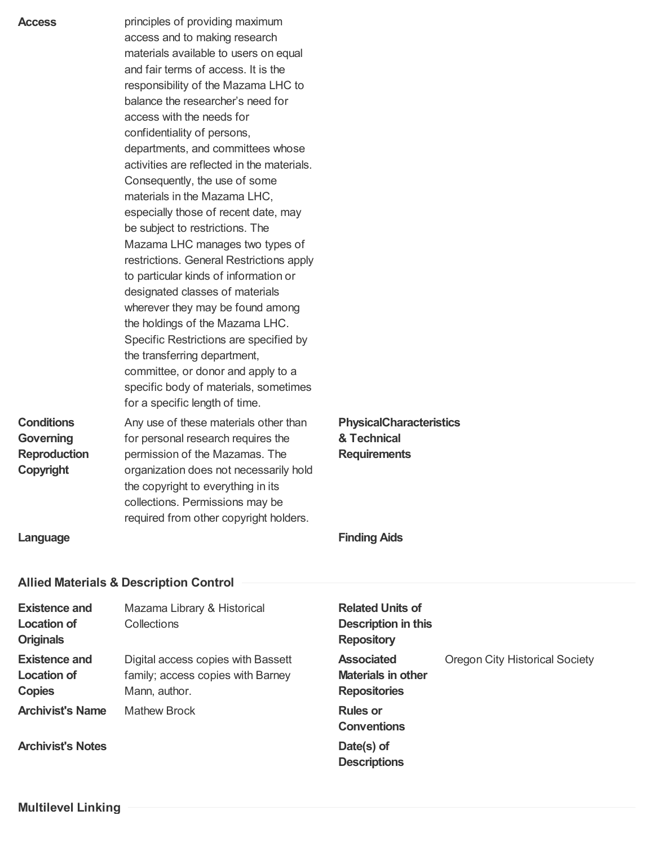| <b>Access</b><br><b>Conditions</b><br><b>Governing</b><br><b>Reproduction</b><br>Copyright<br>Language | principles of providing maximum<br>access and to making research<br>materials available to users on equal<br>and fair terms of access. It is the<br>responsibility of the Mazama LHC to<br>balance the researcher's need for<br>access with the needs for<br>confidentiality of persons,<br>departments, and committees whose<br>activities are reflected in the materials.<br>Consequently, the use of some<br>materials in the Mazama LHC,<br>especially those of recent date, may<br>be subject to restrictions. The<br>Mazama LHC manages two types of<br>restrictions. General Restrictions apply<br>to particular kinds of information or<br>designated classes of materials<br>wherever they may be found among<br>the holdings of the Mazama LHC.<br>Specific Restrictions are specified by<br>the transferring department,<br>committee, or donor and apply to a<br>specific body of materials, sometimes<br>for a specific length of time.<br>Any use of these materials other than<br>for personal research requires the<br>permission of the Mazamas. The<br>organization does not necessarily hold<br>the copyright to everything in its<br>collections. Permissions may be<br>required from other copyright holders. | <b>PhysicalCharacteristics</b><br>& Technical<br><b>Requirements</b><br><b>Finding Aids</b> |                                |
|--------------------------------------------------------------------------------------------------------|------------------------------------------------------------------------------------------------------------------------------------------------------------------------------------------------------------------------------------------------------------------------------------------------------------------------------------------------------------------------------------------------------------------------------------------------------------------------------------------------------------------------------------------------------------------------------------------------------------------------------------------------------------------------------------------------------------------------------------------------------------------------------------------------------------------------------------------------------------------------------------------------------------------------------------------------------------------------------------------------------------------------------------------------------------------------------------------------------------------------------------------------------------------------------------------------------------------------------------|---------------------------------------------------------------------------------------------|--------------------------------|
|                                                                                                        | <b>Allied Materials &amp; Description Control</b>                                                                                                                                                                                                                                                                                                                                                                                                                                                                                                                                                                                                                                                                                                                                                                                                                                                                                                                                                                                                                                                                                                                                                                                  |                                                                                             |                                |
| <b>Existence and</b>                                                                                   | Mazama Library & Historical                                                                                                                                                                                                                                                                                                                                                                                                                                                                                                                                                                                                                                                                                                                                                                                                                                                                                                                                                                                                                                                                                                                                                                                                        | <b>Related Units of</b>                                                                     |                                |
| <b>Location of</b><br><b>Originals</b>                                                                 | Collections                                                                                                                                                                                                                                                                                                                                                                                                                                                                                                                                                                                                                                                                                                                                                                                                                                                                                                                                                                                                                                                                                                                                                                                                                        | <b>Description in this</b><br><b>Repository</b>                                             |                                |
| <b>Existence and</b><br><b>Location of</b><br><b>Copies</b>                                            | Digital access copies with Bassett<br>family; access copies with Barney<br>Mann, author.                                                                                                                                                                                                                                                                                                                                                                                                                                                                                                                                                                                                                                                                                                                                                                                                                                                                                                                                                                                                                                                                                                                                           | <b>Associated</b><br><b>Materials in other</b><br><b>Repositories</b>                       | Oregon City Historical Society |
| <b>Archivist's Name</b>                                                                                | <b>Mathew Brock</b>                                                                                                                                                                                                                                                                                                                                                                                                                                                                                                                                                                                                                                                                                                                                                                                                                                                                                                                                                                                                                                                                                                                                                                                                                | <b>Rules or</b><br><b>Conventions</b>                                                       |                                |

**Descriptions**

**Archivist's Notes Date(s) of**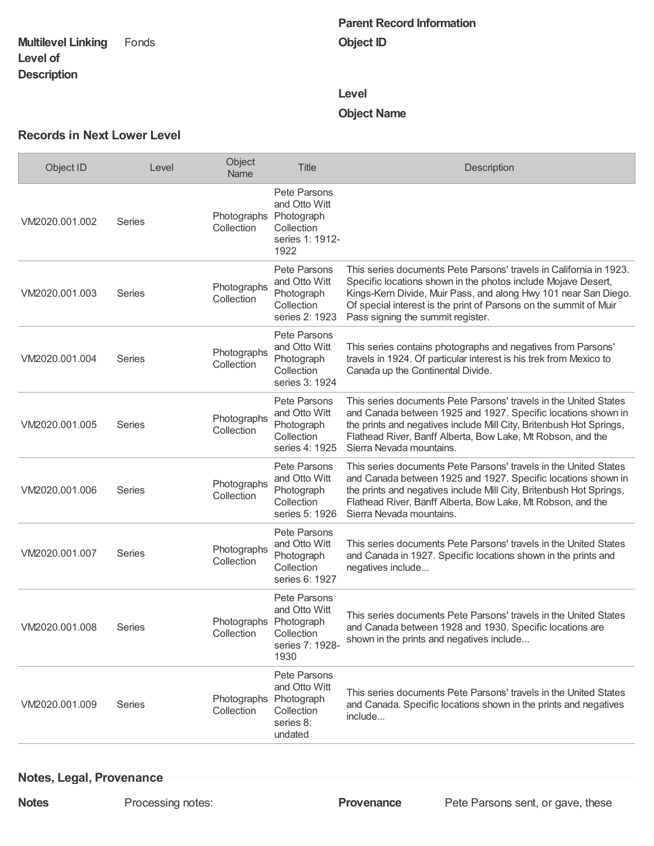#### **Multilevel Linking Level of Description**

# **Parent Record Information Object ID**

#### **Level**

# **Object Name**

#### **Records in Next Lower Level**

| Object ID      | Level         | Object<br>Name                       | <b>Title</b>                                                                      | Description                                                                                                                                                                                                                                                                                                      |
|----------------|---------------|--------------------------------------|-----------------------------------------------------------------------------------|------------------------------------------------------------------------------------------------------------------------------------------------------------------------------------------------------------------------------------------------------------------------------------------------------------------|
| VM2020.001.002 | Series        | Photographs Photograph<br>Collection | Pete Parsons<br>and Otto Witt<br>Collection<br>series 1: 1912-<br>1922            |                                                                                                                                                                                                                                                                                                                  |
| VM2020.001.003 | <b>Series</b> | Photographs<br>Collection            | Pete Parsons<br>and Otto Witt<br>Photograph<br>Collection<br>series 2: 1923       | This series documents Pete Parsons' travels in California in 1923.<br>Specific locations shown in the photos include Mojave Desert,<br>Kings-Kern Divide, Muir Pass, and along Hwy 101 near San Diego.<br>Of special interest is the print of Parsons on the summit of Muir<br>Pass signing the summit register. |
| VM2020.001.004 | Series        | Photographs<br>Collection            | Pete Parsons<br>and Otto Witt<br>Photograph<br>Collection<br>series 3: 1924       | This series contains photographs and negatives from Parsons'<br>travels in 1924. Of particular interest is his trek from Mexico to<br>Canada up the Continental Divide.                                                                                                                                          |
| VM2020.001.005 | Series        | Photographs<br>Collection            | Pete Parsons<br>and Otto Witt<br>Photograph<br>Collection<br>series 4: 1925       | This series documents Pete Parsons' travels in the United States<br>and Canada between 1925 and 1927. Specific locations shown in<br>the prints and negatives include Mill City, Britenbush Hot Springs,<br>Flathead River, Banff Alberta, Bow Lake, Mt Robson, and the<br>Sierra Nevada mountains.              |
| VM2020.001.006 | Series        | Photographs<br>Collection            | Pete Parsons<br>and Otto Witt<br>Photograph<br>Collection<br>series 5: 1926       | This series documents Pete Parsons' travels in the United States<br>and Canada between 1925 and 1927. Specific locations shown in<br>the prints and negatives include Mill City, Britenbush Hot Springs,<br>Flathead River, Banff Alberta, Bow Lake, Mt Robson, and the<br>Sierra Nevada mountains.              |
| VM2020.001.007 | Series        | Photographs<br>Collection            | Pete Parsons<br>and Otto Witt<br>Photograph<br>Collection<br>series 6: 1927       | This series documents Pete Parsons' travels in the United States<br>and Canada in 1927. Specific locations shown in the prints and<br>negatives include                                                                                                                                                          |
| VM2020.001.008 | Series        | Photographs Photograph<br>Collection | Pete Parsons<br>and Otto Witt<br>Collection<br>series 7: 1928-<br>1930            | This series documents Pete Parsons' travels in the United States<br>and Canada between 1928 and 1930. Specific locations are<br>shown in the prints and negatives include                                                                                                                                        |
| VM2020.001.009 | Series        | Photographs<br>Collection            | Pete Parsons<br>and Otto Witt<br>Photograph<br>Collection<br>series 8:<br>undated | This series documents Pete Parsons' travels in the United States<br>and Canada. Specific locations shown in the prints and negatives<br>include                                                                                                                                                                  |

### **Notes, Legal, Provenance**